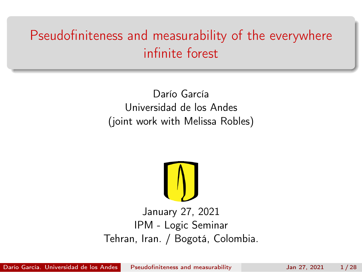## <span id="page-0-0"></span>Pseudofiniteness and measurability of the everywhere infinite forest

Darío García Universidad de los Andes (joint work with Melissa Robles)



#### January 27, 2021 IPM - Logic Seminar Tehran, Iran. / Bogotá, Colombia.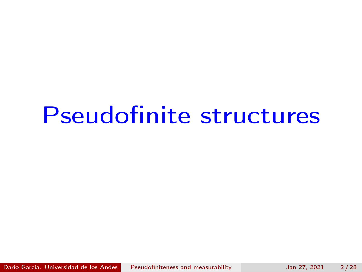## Pseudofinite structures

Darío García. Universidad de los Andes [Pseudofiniteness and measurability](#page-0-0) Jan 27, 2021 2/28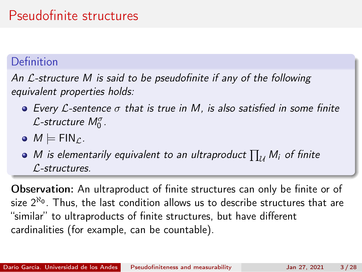## Pseudofinite structures

#### Definition

An L-structure M is said to be pseudofinite if any of the following equivalent properties holds:

- $\bullet$  Every L-sentence  $\sigma$  that is true in M, is also satisfied in some finite  $\mathcal{L}$ -structure  $M^{\sigma}_{0}$  .
- $\bullet M \models \mathsf{FIN}_C$ .
- M is elementarily equivalent to an ultraproduct  $\prod_{\mathcal{U}} M_i$  of finite L-structures.

Observation: An ultraproduct of finite structures can only be finite or of size  $2^{\aleph_{\bf 0}}.$  Thus, the last condition allows us to describe structures that are "similar" to ultraproducts of finite structures, but have different cardinalities (for example, can be countable).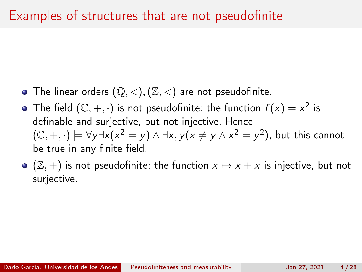### Examples of structures that are not pseudofinite

- The linear orders  $(\mathbb{Q}, <), (\mathbb{Z}, <)$  are not pseudofinite.
- The field  $(\mathbb{C}, +, \cdot)$  is not pseudofinite: the function  $f(x) = x^2$  is definable and surjective, but not injective. Hence  $(\mathbb{C}, +, \cdot) \models \forall y \exists x (x^2 = y) \land \exists x, y (x \neq y \land x^2 = y^2)$ , but this cannot be true in any finite field.
- $\bullet$  ( $\mathbb{Z}, +$ ) is not pseudofinite: the function  $x \mapsto x + x$  is injective, but not surjective.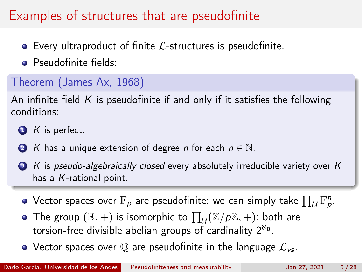## Examples of structures that are pseudofinite

- $\bullet$  Every ultraproduct of finite  $\mathcal{L}$ -structures is pseudofinite.
- **•** Pseudofinite fields:

### Theorem (James Ax, 1968)

An infinite field K is pseudofinite if and only if it satisfies the following conditions:

- $\bullet$  K is perfect.
- 2 K has a unique extension of degree *n* for each  $n \in \mathbb{N}$ .
- $\bullet$  K is pseudo-algebraically closed every absolutely irreducible variety over K has a  $K$ -rational point.
	- Vector spaces over  $\mathbb{F}_\rho$  are pseudofinite: we can simply take  $\prod_{\mathcal{U}} \mathbb{F}_\rho^n$ .
	- The group  $(\mathbb{R},+)$  is isomorphic to  $\prod_{\mathcal{U}}(\mathbb{Z}/p\mathbb{Z},+)$ : both are torsion-free divisible abelian groups of cardinality  $2^{\aleph_0}.$
	- Vector spaces over  $\mathbb Q$  are pseudofinite in the language  $\mathcal L_{\mathsf{vs}}$ .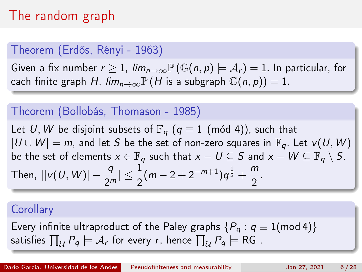## The random graph

#### Theorem (Erdős, Rényi - 1963)

Given a fix number  $r > 1$ ,  $\lim_{n \to \infty} \mathbb{P}(\mathbb{G}(n, p) \models A_r) = 1$ . In particular, for each finite graph H,  $\lim_{n\to\infty} \mathbb{P}(H$  is a subgraph  $\mathbb{G}(n, p) = 1$ .

#### Theorem (Bollobás, Thomason - 1985)

Let U, W be disjoint subsets of  $\mathbb{F}_q$  ( $q \equiv 1$  (mód 4)), such that  $|U \cup W| = m$ , and let S be the set of non-zero squares in  $\mathbb{F}_q$ . Let  $v(U, W)$ be the set of elements  $x \in \mathbb{F}_q$  such that  $x - U \subseteq S$  and  $x - W \subseteq \mathbb{F}_q \setminus S$ . Then,  $||v(U, W)| - \frac{q}{2^m}|\leq \frac{1}{2}(m-2+2^{-m+1})q^{\frac{1}{2}}+\frac{m}{2}$  $\frac{1}{2}$ .

#### **Corollary**

Every infinite ultraproduct of the Paley graphs  $\{P_a : q \equiv 1 \pmod{4}\}$ satisfies  $\prod_{\mathcal{U}} P_q \models \mathcal{A}_r$  for every  $r$ , hence  $\prod_{\mathcal{U}} P_q \models \textsf{RG}$  .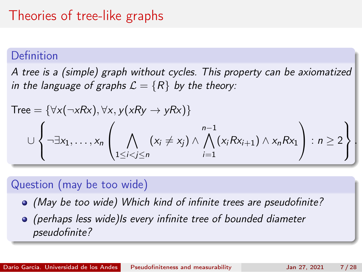## Theories of tree-like graphs

#### Definition

A tree is a (simple) graph without cycles. This property can be axiomatized in the language of graphs  $\mathcal{L} = \{R\}$  by the theory:

$$
Tree = \{ \forall x(\neg xRx), \forall x, y(xRy \rightarrow yRx) \}
$$
  

$$
\cup \left\{ \neg \exists x_1, \dots, x_n \left( \bigwedge_{1 \leq i < j \leq n} (x_i \neq x_j) \land \bigwedge_{i=1}^{n-1} (x_iRx_{i+1}) \land x_nRx_1 \right) : n \geq 2 \right\} \right\}
$$

#### Question (may be too wide)

(May be too wide) Which kind of infinite trees are pseudofinite?

(perhaps less wide)Is every infinite tree of bounded diameter pseudofinite?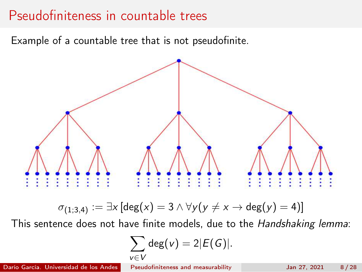### Pseudofiniteness in countable trees

Example of a countable tree that is not pseudofinite.



$$
\sigma_{(1;3,4)} := \exists x \, [\text{deg}(x) = 3 \land \forall y \, (y \neq x \to \text{deg}(y) = 4)]
$$

This sentence does not have finite models, due to the Handshaking lemma:

$$
\sum_{v \in V} \deg(v) = 2|E(G)|.
$$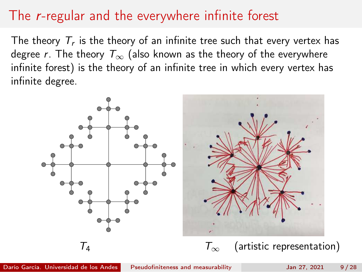## The r-regular and the everywhere infinite forest

The theory  $\mathcal{T}_r$  is the theory of an infinite tree such that every vertex has degree r. The theory  $T_{\infty}$  (also known as the theory of the everywhere infinite forest) is the theory of an infinite tree in which every vertex has infinite degree.

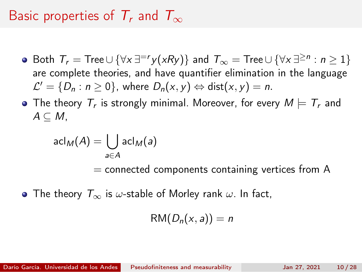## Basic properties of  $T_r$  and  $T_{\infty}$

- Both  $\mathcal{T}_r = \mathsf{Tree} \cup \{\forall \mathsf{x} \,\exists^{=r} \mathsf{y}(\mathsf{x} \mathsf{R} \mathsf{y})\}$  and  $\mathcal{T}_\infty = \mathsf{Tree} \cup \{\forall \mathsf{x} \,\exists^{\geq n} : n \geq 1\}$ are complete theories, and have quantifier elimination in the language  $\mathcal{L}'=\{D_n:n\geq 0\}$ , where  $D_n(x,y)\Leftrightarrow \mathsf{dist}(x,y)=n$ .
- The theory  $\, {\mathcal T}_r \,$  is strongly minimal. Moreover, for every  $M \models \, {\mathcal T}_r$  and  $A \subseteq M$ .

$$
\mathrm{acl}_M(A)=\bigcup_{a\in A}\mathrm{acl}_M(a)
$$

 $=$  connected components containing vertices from A

• The theory  $T_{\infty}$  is  $\omega$ -stable of Morley rank  $\omega$ . In fact,

$$
RM(D_n(x,a))=n
$$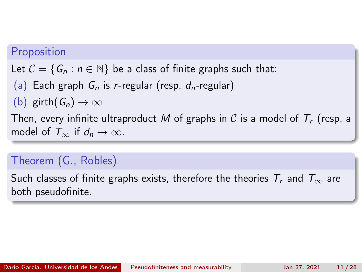#### Proposition

Let  $C = \{G_n : n \in \mathbb{N}\}\$  be a class of finite graphs such that:

(a) Each graph  $G_n$  is r-regular (resp.  $d_n$ -regular)

(b) girth $(G_n) \to \infty$ 

Then, every infinite ultraproduct M of graphs in C is a model of  $T_r$  (resp. a model of  $T_{\infty}$  if  $d_n \to \infty$ .

#### Theorem (G., Robles)

Such classes of finite graphs exists, therefore the theories  $T_r$  and  $T_\infty$  are both pseudofinite.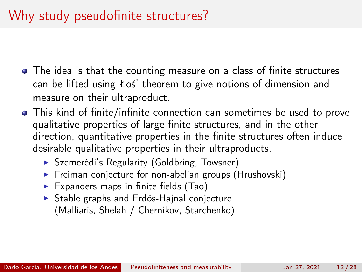## Why study pseudofinite structures?

- The idea is that the counting measure on a class of finite structures can be lifted using Łoś' theorem to give notions of dimension and measure on their ultraproduct.
- This kind of finite/infinite connection can sometimes be used to prove qualitative properties of large finite structures, and in the other direction, quantitative properties in the finite structures often induce desirable qualitative properties in their ultraproducts.
	- ▶ Szemerédi's Regularity (Goldbring, Towsner)
	- ▶ Freiman conjecture for non-abelian groups (Hrushovski)
	- $\triangleright$  Expanders maps in finite fields (Tao)
	- ▶ Stable graphs and Erdős-Hajnal conjecture (Malliaris, Shelah / Chernikov, Starchenko)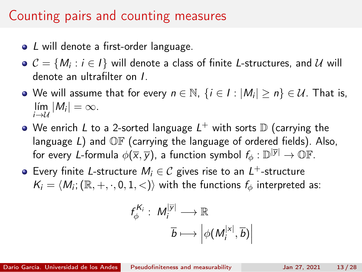## Counting pairs and counting measures

- L will denote a first-order language.
- $\mathcal{C} = \{M_i : i \in I\}$  will denote a class of finite L-structures, and  $\mathcal U$  will denote an ultrafilter on I.
- We will assume that for every  $n\in\mathbb{N},\;\{i\in I:|M_i|\ge n\}\in\mathcal{U}.$  That is,  $\lim_{i\to\mathcal{U}}|M_i|=\infty.$
- We enrich  $L$  to a 2-sorted language  $L^+$  with sorts  $\mathbb D$  (carrying the language  $L$ ) and  $\mathbb{O} \mathbb{F}$  (carrying the language of ordered fields). Also, for every L-formula  $\phi(\overline{\mathsf{x}},\overline{\mathsf{y}})$ , a function symbol  $f_\phi:\mathbb{D}^{|\overline{\mathsf{y}}|}\to\mathbb{O}\mathbb{F}.$
- Every finite L-structure  $M_i \in \mathcal{C}$  gives rise to an  $L^+$ -structure  $\mathcal{K}_i = \langle \mathcal{M}_i; (\mathbb{R}, +, \cdot, 0, 1, <) \rangle$  with the functions  $f_\phi$  interpreted as:

$$
f_{\phi}^{K_i}: M_i^{|\overline{y}|} \longrightarrow \mathbb{R}
$$

$$
\overline{b} \longmapsto \left| \phi(M_i^{|x|}, \overline{b}) \right|
$$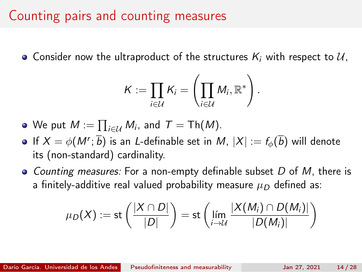## Counting pairs and counting measures

• Consider now the ultraproduct of the structures  $K_i$  with respect to  $\mathcal{U}$ .

$$
\mathcal{K} := \prod_{i \in \mathcal{U}} \mathcal{K}_i = \left( \prod_{i \in \mathcal{U}} M_i, \mathbb{R}^* \right).
$$

- We put  $M:=\prod_{i\in\mathcal{U}}M_i$ , and  $\mathcal{T}=\mathsf{Th}(M).$
- If  $X=\phi(M^{\prime};\overline{b})$  is an *L*-definable set in  $M,$   $|X|:=f_{\phi}(\overline{b})$  will denote its (non-standard) cardinality.
- Counting measures: For a non-empty definable subset D of M, there is a finitely-additive real valued probability measure  $\mu_D$  defined as:

$$
\mu_D(X) := \mathsf{st}\left(\frac{|X \cap D|}{|D|}\right) = \mathsf{st}\left(\lim_{i \to \mathcal{U}} \frac{|X(M_i) \cap D(M_i)|}{|D(M_i)|}\right)
$$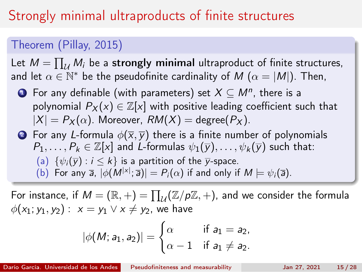## Strongly minimal ultraproducts of finite structures

#### Theorem (Pillay, 2015)

Let  $M = \prod_{\mathcal{U}} M_i$  be a strongly minimal ultraproduct of finite structures, and let  $\alpha\in\mathbb{N}^*$  be the pseudofinite cardinality of  $M$   $(\alpha=|M|).$  Then,

- $\bullet\hspace{0.1cm}$  For any definable (with parameters) set  $X\subseteq M^{n},$  there is a polynomial  $P_X(x) \in \mathbb{Z}[x]$  with positive leading coefficient such that  $|X| = P_X(\alpha)$ . Moreover,  $RM(X) = \text{degree}(P_X)$ .
- **2** For any L-formula  $\phi(\overline{x}, \overline{y})$  there is a finite number of polynomials  $P_1, \ldots, P_k \in \mathbb{Z}[x]$  and L-formulas  $\psi_1(\overline{y}), \ldots, \psi_k(\overline{y})$  such that: (a)  $\{\psi_i(\overline{y}) : i \leq k\}$  is a partition of the  $\overline{y}$ -space. (b) For any  $\bar{a}$ ,  $|\phi(M^{|\times|};\bar{a})| = P_i(\alpha)$  if and only if  $M \models \psi_i(\bar{a})$ .

For instance, if  $M=(\mathbb{R}, +)=\prod_{\mathcal{U}}(\mathbb{Z}/p\mathbb{Z}, +)$ , and we consider the formula  $\phi(x_1; y_1, y_2) : x = y_1 \vee x \neq y_2$ , we have

$$
|\phi(M; a_1, a_2)| = \begin{cases} \alpha & \text{if } a_1 = a_2, \\ \alpha - 1 & \text{if } a_1 \neq a_2. \end{cases}
$$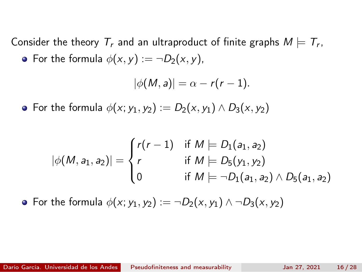Consider the theory  $\, {\mathcal T}_r$  and an ultraproduct of finite graphs  $M \models {\mathcal T}_r,$ • For the formula  $\phi(x, y) := \neg D_2(x, y)$ ,

$$
|\phi(M,a)|=\alpha-r(r-1).
$$

• For the formula  $\phi(x; y_1, y_2) := D_2(x, y_1) \wedge D_3(x, y_2)$ 

$$
|\phi(M, a_1, a_2)| = \begin{cases} r(r-1) & \text{if } M \models D_1(a_1, a_2) \\ r & \text{if } M \models D_5(y_1, y_2) \\ 0 & \text{if } M \models \neg D_1(a_1, a_2) \land D_5(a_1, a_2) \end{cases}
$$

• For the formula  $\phi(x; y_1, y_2) := \neg D_2(x, y_1) \land \neg D_3(x, y_2)$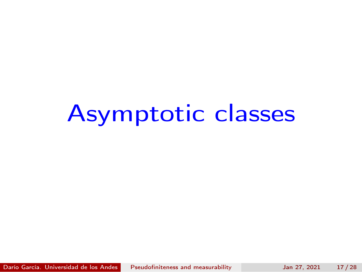## Asymptotic classes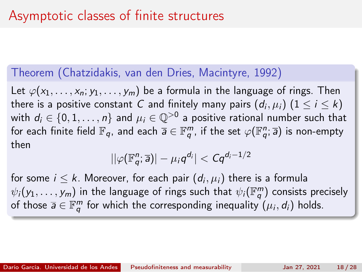#### Theorem (Chatzidakis, van den Dries, Macintyre, 1992)

Let  $\varphi(x_1,\ldots,x_n; y_1,\ldots,y_m)$  be a formula in the language of rings. Then there is a positive constant  $\,C$  and finitely many pairs  $(d_i,\mu_i) \; (1 \leq i \leq k)$ with  $d_i \in \{0,1,\ldots,n\}$  and  $\mu_i \in \mathbb{Q}^{>0}$  a positive rational number such that for each finite field  $\mathbb{F}_q$ , and each  $\overline{a}\in \mathbb{F}_q^m$ , if the set  $\varphi(\mathbb{F}_q^n;\overline{a})$  is non-empty then

$$
||\varphi(\mathbb{F}_q^n;\overline{a})|-\mu_i q^{d_i}| < Cq^{d_i-1/2}
$$

for some  $i\leq k.$  Moreover, for each pair  $(d_i,\mu_i)$  there is a formula  $\psi_i(y_1,\ldots,y_m)$  in the language of rings such that  $\psi_i(\mathbb{F}_q^m)$  consists precisely of those  $\overline{\bm{a}}\in\mathbb{F}_q^m$  for which the corresponding inequality  $(\mu_i,d_i)$  holds.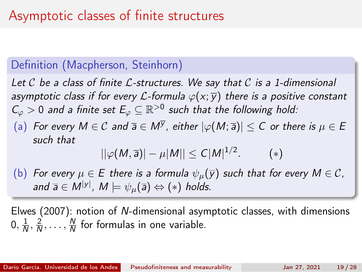#### Definition (Macpherson, Steinhorn)

Let C be a class of finite L-structures. We say that C is a 1-dimensional asymptotic class if for every L-formula  $\varphi(x; \overline{y})$  there is a positive constant  $\mathcal{C}_\varphi > 0$  and a finite set  $E_\varphi \subseteq \mathbb{R}^{>0}$  such that the following hold:

(a) For every  $M\in \mathcal C$  and  $\overline a\in M^{\overline{\mathcal Y}}$ , either  $|\varphi(M;\overline a)|\leq C$  or there is  $\mu\in E$ such that

$$
||\varphi(M,\overline{a})| - \mu|M|| \leq C|M|^{1/2}.
$$
 (\*)

(b) For every  $\mu \in E$  there is a formula  $\psi_{\mu}(\overline{y})$  such that for every  $M \in \mathcal{C}$ , and  $\overline{\mathsf{a}}\in\mathsf{M}^{|\mathsf{y}|}$ ,  $\mathsf{M}\models\psi_{\mu}(\overline{\mathsf{a}})\Leftrightarrow (*)$  holds.

Elwes (2007): notion of N-dimensional asymptotic classes, with dimensions  $0, \frac{1}{\sqrt{2}}$  $\frac{1}{N}$ ,  $\frac{2}{N}$  $\frac{2}{N}$ , ...,  $\frac{N}{N}$  $\frac{N}{N}$  for formulas in one variable.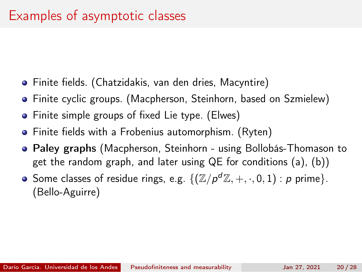- Finite fields. (Chatzidakis, van den dries, Macyntire)
- Finite cyclic groups. (Macpherson, Steinhorn, based on Szmielew)
- Finite simple groups of fixed Lie type. (Elwes)
- Finite fields with a Frobenius automorphism. (Ryten)
- Paley graphs (Macpherson, Steinhorn using Bollobás-Thomason to get the random graph, and later using QE for conditions (a), (b))
- Some classes of residue rings, e.g.  $\{(\mathbb{Z}/\rho^d\mathbb{Z},+,\cdot,0,1):\rho$  prime}. (Bello-Aguirre)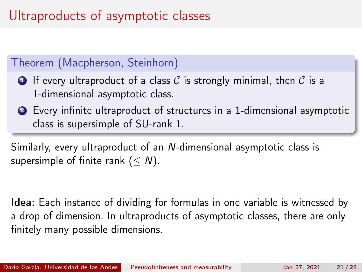## Ultraproducts of asymptotic classes

#### Theorem (Macpherson, Steinhorn)

- **1** If every ultraproduct of a class C is strongly minimal, then C is a 1-dimensional asymptotic class.
- <sup>2</sup> Every infinite ultraproduct of structures in a 1-dimensional asymptotic class is supersimple of SU-rank 1.

Similarly, every ultraproduct of an N-dimensional asymptotic class is supersimple of finite rank  $(< N)$ .

Idea: Each instance of dividing for formulas in one variable is witnessed by a drop of dimension. In ultraproducts of asymptotic classes, there are only finitely many possible dimensions.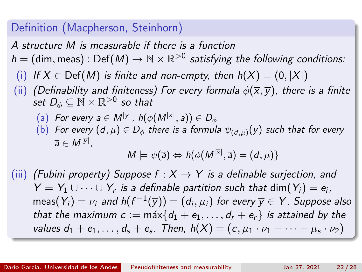#### Definition (Macpherson, Steinhorn)

A structure M is measurable if there is a function

- $h = (\text{dim}, \text{meas}) : \text{Def}(M) \to \mathbb{N} \times \mathbb{R}^{>0}$  satisfying the following conditions:
	- (i) If  $X \in \text{Def}(M)$  is finite and non-empty, then  $h(X) = (0, |X|)$
- (ii) (Definability and finiteness) For every formula  $\phi(\overline{x}, \overline{y})$ , there is a finite set  $D_\phi \subseteq \breve{\mathbb{N}} \times \mathbb{R}^{>0}$  so that
	- (a) For every  $\overline{a} \in M^{|\overline{y}|}$ ,  $h(\phi(M^{|\overline{x}|}, \overline{a})) \in D_{\phi}$
	- (b) For every  $(d, \mu) \in D_{\phi}$  there is a formula  $\psi_{(d,\mu)}(\overline{y})$  such that for every  $\overline{a} \in M^{|\overline{y}|}$ ,

$$
M \models \psi(\overline{a}) \Leftrightarrow h(\phi(M^{|\overline{x}|}, \overline{a}) = (d, \mu))
$$

(iii) (Fubini property) Suppose  $f : X \rightarrow Y$  is a definable surjection, and  $Y = Y_1 \cup \cdots \cup Y_r$  is a definable partition such that dim $(Y_i) = e_i$ ,  $\mathsf{meas} (Y_i) = \nu_i$  and  $\mathsf{h}(f^{-1}(\overline{\mathsf{y}})) = (d_i, \mu_i)$  for every  $\overline{\mathsf{y}} \in \mathsf{Y}$  . Suppose also that the maximum  $c := \max\{d_1 + e_1, \ldots, d_r + e_r\}$  is attained by the values  $d_1 + e_1, \ldots, d_s + e_s$ . Then,  $h(X) = (c, \mu_1 \cdot \nu_1 + \cdots + \mu_s \cdot \nu_2)$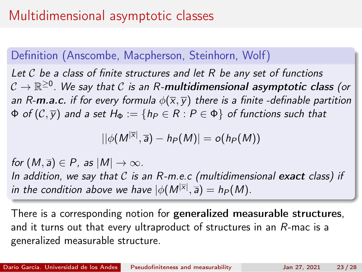## Multidimensional asymptotic classes

#### Definition (Anscombe, Macpherson, Steinhorn, Wolf)

Let  $\mathcal C$  be a class of finite structures and let  $R$  be any set of functions  $\mathcal{C}\to\mathbb{R}^{\geq 0}.$  We say that  $\mathcal C$  is an R-**multidimensional asymptotic class** (or an R-m.a.c. if for every formula  $\phi(\overline{x}, \overline{y})$  there is a finite -definable partition  $\Phi$  of  $(C, \overline{y})$  and a set  $H_{\Phi} := \{h_P \in R : P \in \Phi\}$  of functions such that

$$
||\phi(M^{|\overline{x}|}, \overline{a}) - h_P(M)| = o(h_P(M))
$$

for  $(M, \overline{a}) \in P$ , as  $|M| \to \infty$ . In addition, we say that  $C$  is an  $R$ -m.e.c (multidimensional exact class) if in the condition above we have  $|\phi(M^{|\overline{\mathsf{x}}|},\overline{\mathsf{a}})=h_P(M).$ 

There is a corresponding notion for generalized measurable structures, and it turns out that every ultraproduct of structures in an R-mac is a generalized measurable structure.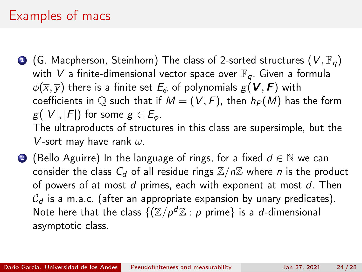## Examples of macs

**1** (G. Macpherson, Steinhorn) The class of 2-sorted structures  $(V, \mathbb{F}_q)$ with V a finite-dimensional vector space over  $\mathbb{F}_q$ . Given a formula  $\phi(\overline{x}, \overline{y})$  there is a finite set  $E_{\phi}$  of polynomials  $g(\mathbf{V}, \mathbf{F})$  with coefficients in  $\mathbb Q$  such that if  $M = (V, F)$ , then  $h_P(M)$  has the form  $g(|V|, |F|)$  for some  $g \in E_{\phi}$ . The ultraproducts of structures in this class are supersimple, but the

V-sort may have rank  $\omega$ .

2 (Bello Aguirre) In the language of rings, for a fixed  $d \in \mathbb{N}$  we can consider the class  $C_d$  of all residue rings  $\mathbb{Z}/n\mathbb{Z}$  where *n* is the product of powers of at most d primes, each with exponent at most d. Then  $C_d$  is a m.a.c. (after an appropriate expansion by unary predicates). Note here that the class  $\{({\mathbb Z}/\rho^d{\mathbb Z} : p$  prime} is a  $d$ -dimensional asymptotic class.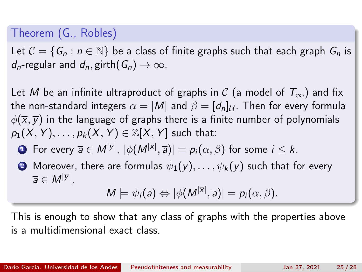#### Theorem (G., Robles)

Let  $C = \{G_n : n \in \mathbb{N}\}\$  be a class of finite graphs such that each graph  $G_n$  is  $d_n$ -regular and  $d_n$ , girth $(G_n) \to \infty$ .

Let M be an infinite ultraproduct of graphs in C (a model of  $T_{\infty}$ ) and fix the non-standard integers  $\alpha = |M|$  and  $\beta = [d_n]_{\mathcal{U}}$ . Then for every formula  $\phi(\overline{x}, \overline{y})$  in the language of graphs there is a finite number of polynomials  $p_1(X, Y), \ldots, p_k(X, Y) \in \mathbb{Z}[X, Y]$  such that:

- $\bullet\,$  For every  $\overline{\mathsf{a}}\in \mathsf{M}^{|\overline{\mathsf{y}}|},\, |\phi(\mathsf{M}^{|\overline{\mathsf{x}}|},\overline{\mathsf{a}})|=\mathsf{p}_i(\alpha,\beta)$  for some  $i\leq k.$
- 2 Moreover, there are formulas  $\psi_1(\overline{y}), \ldots, \psi_k(\overline{y})$  such that for every  $\overline{a} \in M^{|\overline{y}|},$

$$
M\models \psi_i(\overline{a})\Leftrightarrow |\phi(M^{|\overline{x}|},\overline{a})|=p_i(\alpha,\beta).
$$

This is enough to show that any class of graphs with the properties above is a multidimensional exact class.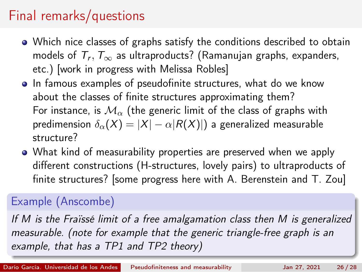## Final remarks/questions

- Which nice classes of graphs satisfy the conditions described to obtain models of  $\mathcal{T}_r,\mathcal{T}_\infty$  as ultraproducts? (Ramanujan graphs, expanders, etc.) [work in progress with Melissa Robles]
- In famous examples of pseudofinite structures, what do we know about the classes of finite structures approximating them? For instance, is  $\mathcal{M}_{\alpha}$  (the generic limit of the class of graphs with predimension  $\delta_{\alpha}(X) = |X| - \alpha |R(X)|$  a generalized measurable structure?
- What kind of measurability properties are preserved when we apply different constructions (H-structures, lovely pairs) to ultraproducts of finite structures? [some progress here with A. Berenstein and T. Zou]

#### Example (Anscombe)

If M is the Fraïssé limit of a free amalgamation class then M is generalized measurable. (note for example that the generic triangle-free graph is an example, that has a TP1 and TP2 theory)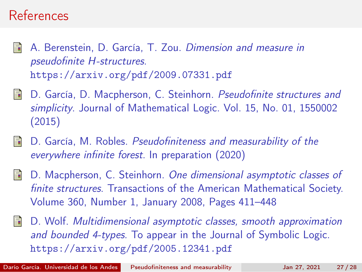### References

- A. Berenstein, D. García, T. Zou. Dimension and measure in pseudofinite H-structures. <https://arxiv.org/pdf/2009.07331.pdf>
- D. García, D. Macpherson, C. Steinhorn. Pseudofinite structures and simplicity. Journal of Mathematical Logic. Vol. 15, No. 01, 1550002 (2015)
- 暈 D. García, M. Robles. Pseudofiniteness and measurability of the everywhere infinite forest. In preparation (2020)
- D. Macpherson, C. Steinhorn. One dimensional asymptotic classes of 晶 finite structures. Transactions of the American Mathematical Society. Volume 360, Number 1, January 2008, Pages 411–448
- D. Wolf. Multidimensional asymptotic classes, smooth approximation and bounded 4-types. To appear in the Journal of Symbolic Logic. <https://arxiv.org/pdf/2005.12341.pdf>